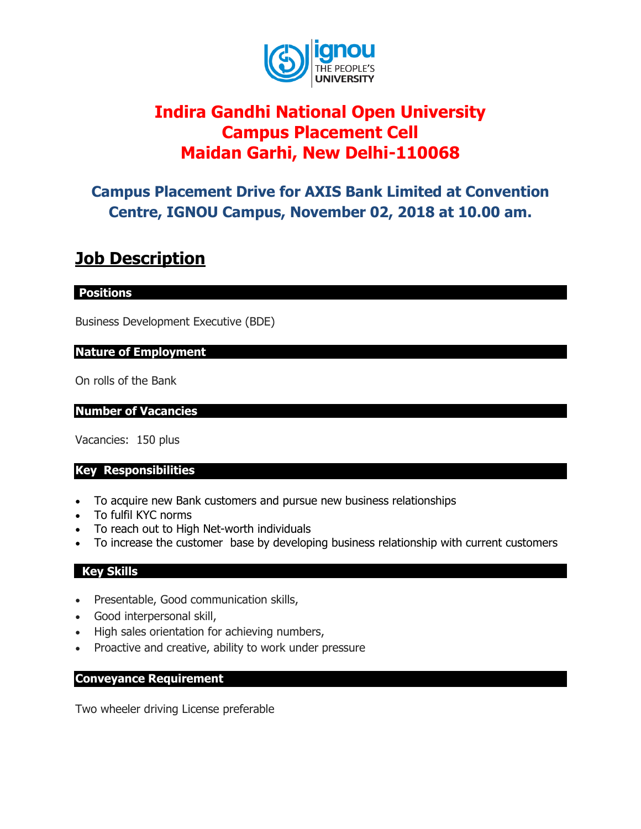

# **Indira Gandhi National Open University Campus Placement Cell Maidan Garhi, New Delhi-110068**

# **Campus Placement Drive for AXIS Bank Limited at Convention Centre, IGNOU Campus, November 02, 2018 at 10.00 am.**

# **Job Description**

## **Positions**

Business Development Executive (BDE)

## **Nature of Employment**

On rolls of the Bank

## **Number of Vacancies**

Vacancies: 150 plus

## **Key Responsibilities**

- To acquire new Bank customers and pursue new business relationships
- To fulfil KYC norms
- To reach out to High Net-worth individuals
- To increase the customer base by developing business relationship with current customers

## **Key Skills**

- Presentable, Good communication skills,
- Good interpersonal skill,
- High sales orientation for achieving numbers,
- Proactive and creative, ability to work under pressure

## **Conveyance Requirement**

Two wheeler driving License preferable